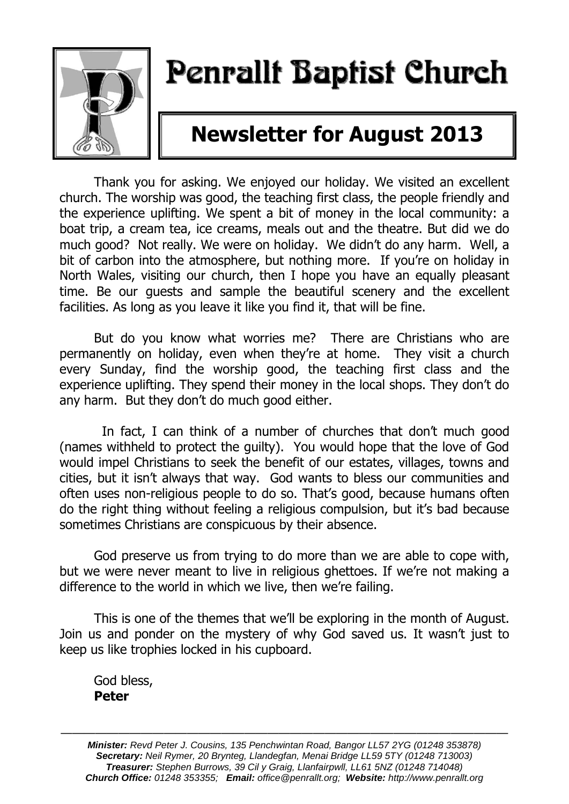

# Penrallt Baptist Church

## **Newsletter for August 2013**

Thank you for asking. We enjoyed our holiday. We visited an excellent church. The worship was good, the teaching first class, the people friendly and the experience uplifting. We spent a bit of money in the local community: a boat trip, a cream tea, ice creams, meals out and the theatre. But did we do much good? Not really. We were on holiday. We didn't do any harm. Well, a bit of carbon into the atmosphere, but nothing more. If you're on holiday in North Wales, visiting our church, then I hope you have an equally pleasant time. Be our guests and sample the beautiful scenery and the excellent facilities. As long as you leave it like you find it, that will be fine.

But do you know what worries me? There are Christians who are permanently on holiday, even when they're at home. They visit a church every Sunday, find the worship good, the teaching first class and the experience uplifting. They spend their money in the local shops. They don't do any harm. But they don't do much good either.

 In fact, I can think of a number of churches that don't much good (names withheld to protect the guilty). You would hope that the love of God would impel Christians to seek the benefit of our estates, villages, towns and cities, but it isn't always that way. God wants to bless our communities and often uses non-religious people to do so. That's good, because humans often do the right thing without feeling a religious compulsion, but it's bad because sometimes Christians are conspicuous by their absence.

God preserve us from trying to do more than we are able to cope with, but we were never meant to live in religious ghettoes. If we're not making a difference to the world in which we live, then we're failing.

This is one of the themes that we'll be exploring in the month of August. Join us and ponder on the mystery of why God saved us. It wasn't just to keep us like trophies locked in his cupboard.

God bless, **Peter** 

———————————————————————————————————————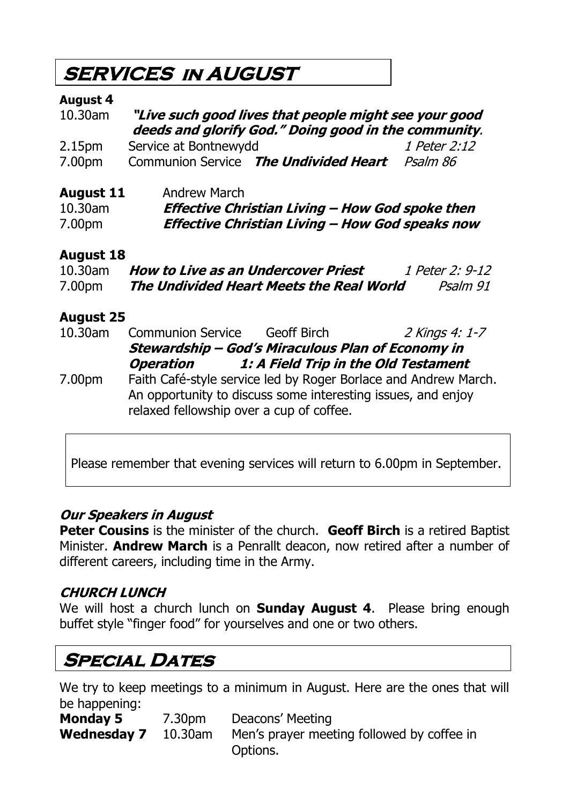### **SERVICES in AUGUST**

#### **August 4**

| "Live such good lives that people might see your good<br>deeds and glorify God." Doing good in the community. |              |  |
|---------------------------------------------------------------------------------------------------------------|--------------|--|
| Service at Bontnewydd                                                                                         | 1 Peter 2:12 |  |
| Communion Service The Undivided Heart                                                                         | Psalm 86     |  |
|                                                                                                               |              |  |

**August 11** Andrew March 10.30am **Effective Christian Living – How God spoke then** 7.00pm **Effective Christian Living – How God speaks now**

#### **August 18**

| 10.30am | <b>How to Live as an Undercover Priest</b> | 1 Peter 2: 9-12 |
|---------|--------------------------------------------|-----------------|
| 7.00pm  | The Undivided Heart Meets the Real World   | Psalm 91        |

### **August 25**

| 10.30am | <b>Communion Service</b>                                                                                                        | Geoff Birch | 2 Kings 4: 1-7                       |
|---------|---------------------------------------------------------------------------------------------------------------------------------|-------------|--------------------------------------|
|         | Stewardship - God's Miraculous Plan of Economy in                                                                               |             |                                      |
|         | Operation                                                                                                                       |             | 1: A Field Trip in the Old Testament |
| 7.00pm  | Faith Café-style service led by Roger Borlace and Andrew March.<br>An opportunity to discuss some interesting issues, and enjoy |             |                                      |
|         | relaxed fellowship over a cup of coffee.                                                                                        |             |                                      |

Please remember that evening services will return to 6.00pm in September.

### **Our Speakers in August**

**Peter Cousins** is the minister of the church. **Geoff Birch** is a retired Baptist Minister. **Andrew March** is a Penrallt deacon, now retired after a number of different careers, including time in the Army.

### **CHURCH LUNCH**

We will host a church lunch on **Sunday August 4**. Please bring enough buffet style "finger food" for yourselves and one or two others.

### **Special Dates**

We try to keep meetings to a minimum in August. Here are the ones that will be happening:

| <b>Monday 5</b>            | 7.30pm | Deacons' Meeting                           |
|----------------------------|--------|--------------------------------------------|
| <b>Wednesday 7</b> 10.30am |        | Men's prayer meeting followed by coffee in |
|                            |        | Options.                                   |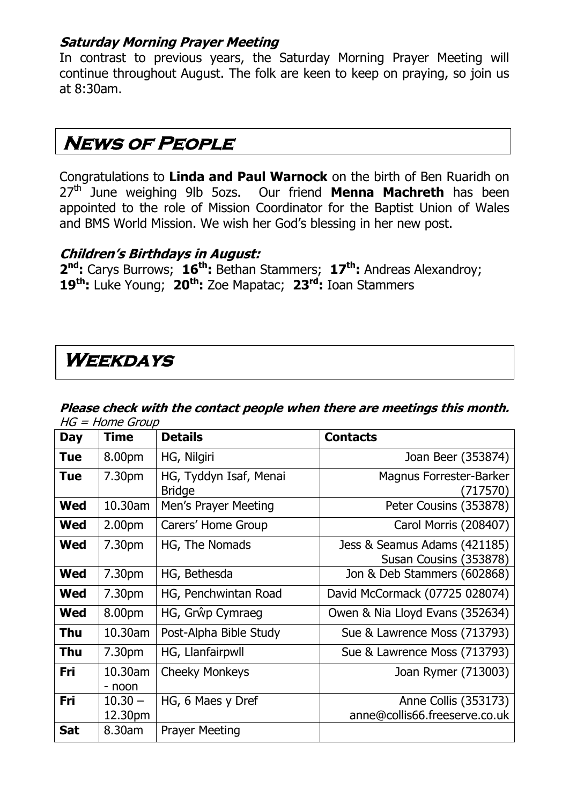### **Saturday Morning Prayer Meeting**

In contrast to previous years, the Saturday Morning Prayer Meeting will continue throughout August. The folk are keen to keep on praying, so join us at 8:30am.

### **News of People**

Congratulations to **Linda and Paul Warnock** on the birth of Ben Ruaridh on 27th June weighing 9lb 5ozs. Our friend **Menna Machreth** has been appointed to the role of Mission Coordinator for the Baptist Union of Wales and BMS World Mission. We wish her God's blessing in her new post.

### **Children's Birthdays in August:**

**2 nd:** Carys Burrows; **16th:** Bethan Stammers; **17th:** Andreas Alexandroy; **19th:** Luke Young; **20th:** Zoe Mapatac; **23rd:** Ioan Stammers

### **Weekdays**

#### **Please check with the contact people when there are meetings this month.**   $HG = Home$  Group

| Day        | <b>Time</b>          | <b>Details</b>                          | <b>Contacts</b>                                        |
|------------|----------------------|-----------------------------------------|--------------------------------------------------------|
| <b>Tue</b> | 8.00pm               | HG, Nilgiri                             | Joan Beer (353874)                                     |
| <b>Tue</b> | 7.30pm               | HG, Tyddyn Isaf, Menai<br><b>Bridge</b> | <b>Magnus Forrester-Barker</b><br>(717570)             |
| <b>Wed</b> | 10.30am              | Men's Prayer Meeting                    | Peter Cousins (353878)                                 |
| Wed        | 2.00 <sub>pm</sub>   | Carers' Home Group                      | Carol Morris (208407)                                  |
| <b>Wed</b> | 7.30pm               | HG, The Nomads                          | Jess & Seamus Adams (421185)<br>Susan Cousins (353878) |
| <b>Wed</b> | 7.30pm               | HG, Bethesda                            | Jon & Deb Stammers (602868)                            |
| Wed        | 7.30pm               | HG, Penchwintan Road                    | David McCormack (07725 028074)                         |
| <b>Wed</b> | 8.00pm               | HG, Grŵp Cymraeg                        | Owen & Nia Lloyd Evans (352634)                        |
| <b>Thu</b> | 10.30am              | Post-Alpha Bible Study                  | Sue & Lawrence Moss (713793)                           |
| Thu        | 7.30pm               | HG, Llanfairpwll                        | Sue & Lawrence Moss (713793)                           |
| Fri        | 10.30am<br>- noon    | <b>Cheeky Monkeys</b>                   | Joan Rymer (713003)                                    |
| Fri        | $10.30 -$<br>12.30pm | HG, 6 Maes y Dref                       | Anne Collis (353173)<br>anne@collis66.freeserve.co.uk  |
| <b>Sat</b> | 8.30am               | <b>Prayer Meeting</b>                   |                                                        |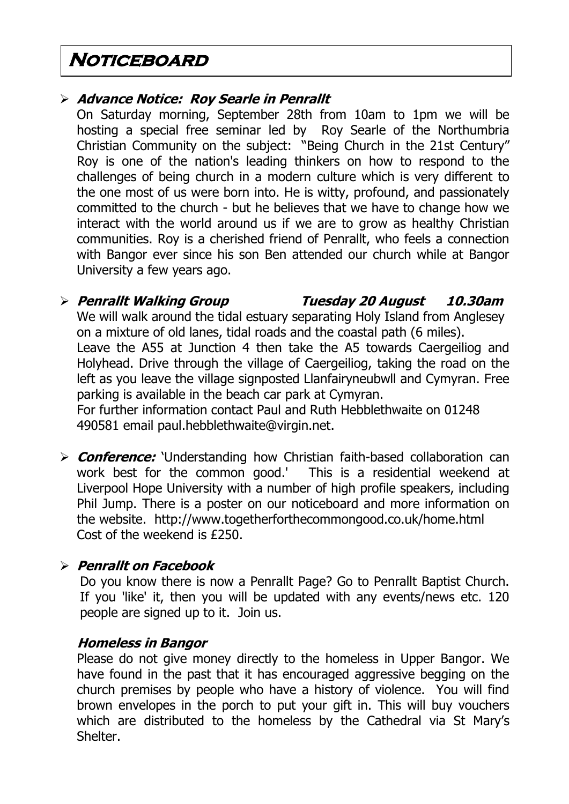### **Noticeboard**

### **Advance Notice: Roy Searle in Penrallt**

On Saturday morning, September 28th from 10am to 1pm we will be hosting a special free seminar led by Roy Searle of the Northumbria Christian Community on the subject: "Being Church in the 21st Century" Roy is one of the nation's leading thinkers on how to respond to the challenges of being church in a modern culture which is very different to the one most of us were born into. He is witty, profound, and passionately committed to the church - but he believes that we have to change how we interact with the world around us if we are to grow as healthy Christian communities. Roy is a cherished friend of Penrallt, who feels a connection with Bangor ever since his son Ben attended our church while at Bangor University a few years ago.

### **Penrallt Walking Group Tuesday 20 August 10.30am**

We will walk around the tidal estuary separating Holy Island from Anglesey on a mixture of old lanes, tidal roads and the coastal path (6 miles). Leave the A55 at Junction 4 then take the A5 towards Caergeiliog and Holyhead. Drive through the village of Caergeiliog, taking the road on the left as you leave the village signposted Llanfairyneubwll and Cymyran. Free parking is available in the beach car park at Cymyran.

For further information contact Paul and Ruth Hebblethwaite on 01248 490581 email [paul.hebblethwaite@virgin.net.](mailto:paul.hebblethwaite@virgin.net)

**Conference:** 'Understanding how Christian faith-based collaboration can work best for the common good.' This is a residential weekend at work best for the common good.' Liverpool Hope University with a number of high profile speakers, including Phil Jump. There is a poster on our noticeboard and more information on the website. <http://www.togetherforthecommongood.co.uk/home.html> Cost of the weekend is £250.

### **Penrallt on Facebook**

Do you know there is now a Penrallt Page? Go to Penrallt Baptist Church. If you 'like' it, then you will be updated with any events/news etc. 120 people are signed up to it. Join us.

#### **Homeless in Bangor**

Please do not give money directly to the homeless in Upper Bangor. We have found in the past that it has encouraged aggressive begging on the church premises by people who have a history of violence. You will find brown envelopes in the porch to put your gift in. This will buy vouchers which are distributed to the homeless by the Cathedral via St Mary's Shelter.